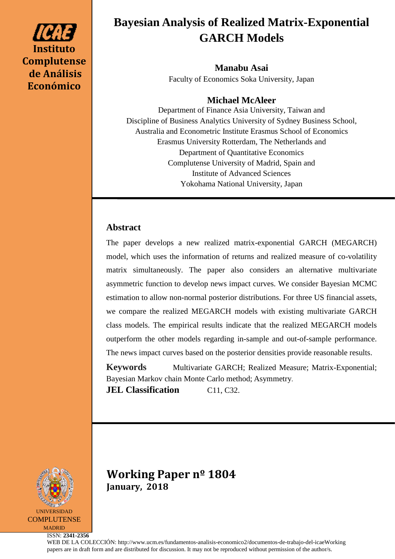# **Instituto Complutense de Análisis Económico**

# **Bayesian Analysis of Realized Matrix-Exponential GARCH Models**

**Manabu Asai** Faculty of Economics Soka University, Japan

# **Michael McAleer**

Department of Finance Asia University, Taiwan and Discipline of Business Analytics University of Sydney Business School, Australia and Econometric Institute Erasmus School of Economics Erasmus University Rotterdam, The Netherlands and Department of Quantitative Economics Complutense University of Madrid, Spain and Institute of Advanced Sciences Yokohama National University, Japan

# **Abstract**

The paper develops a new realized matrix-exponential GARCH (MEGARCH) model, which uses the information of returns and realized measure of co-volatility matrix simultaneously. The paper also considers an alternative multivariate asymmetric function to develop news impact curves. We consider Bayesian MCMC estimation to allow non-normal posterior distributions. For three US financial assets, we compare the realized MEGARCH models with existing multivariate GARCH class models. The empirical results indicate that the realized MEGARCH models outperform the other models regarding in-sample and out-of-sample performance. The news impact curves based on the posterior densities provide reasonable results.

**Keywords** Multivariate GARCH; Realized Measure; Matrix-Exponential; Bayesian Markov chain Monte Carlo method; Asymmetry.

**JEL Classification** C11, C32.



**Working Paper nº 1804 January, 2018**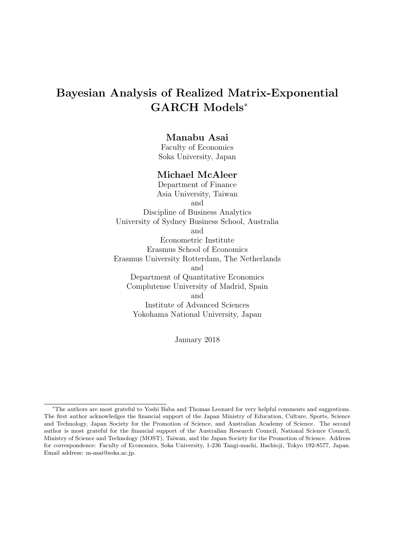# **Bayesian Analysis of Realized Matrix-Exponential GARCH Models***<sup>∗</sup>*

### **Manabu Asai**

Faculty of Economics Soka University, Japan

#### **Michael McAleer**

Department of Finance Asia University, Taiwan and Discipline of Business Analytics University of Sydney Business School, Australia and Econometric Institute Erasmus School of Economics Erasmus University Rotterdam, The Netherlands and Department of Quantitative Economics Complutense University of Madrid, Spain and Institute of Advanced Sciences Yokohama National University, Japan

January 2018

*<sup>∗</sup>*The authors are most grateful to Yoshi Baba and Thomas Leonard for very helpful comments and suggestions. The first author acknowledges the financial support of the Japan Ministry of Education, Culture, Sports, Science and Technology, Japan Society for the Promotion of Science, and Australian Academy of Science. The second author is most grateful for the financial support of the Australian Research Council, National Science Council, Ministry of Science and Technology (MOST), Taiwan, and the Japan Society for the Promotion of Science. Address for correspondence: Faculty of Economics, Soka University, 1-236 Tangi-machi, Hachioji, Tokyo 192-8577, Japan. Email address: m-asai@soka.ac.jp.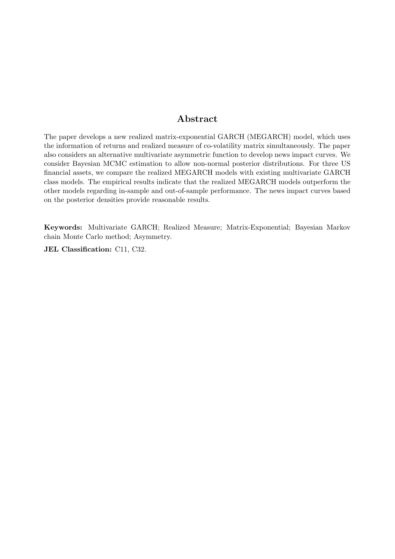# **Abstract**

The paper develops a new realized matrix-exponential GARCH (MEGARCH) model, which uses the information of returns and realized measure of co-volatility matrix simultaneously. The paper also considers an alternative multivariate asymmetric function to develop news impact curves. We consider Bayesian MCMC estimation to allow non-normal posterior distributions. For three US financial assets, we compare the realized MEGARCH models with existing multivariate GARCH class models. The empirical results indicate that the realized MEGARCH models outperform the other models regarding in-sample and out-of-sample performance. The news impact curves based on the posterior densities provide reasonable results.

**Keywords:** Multivariate GARCH; Realized Measure; Matrix-Exponential; Bayesian Markov chain Monte Carlo method; Asymmetry.

**JEL Classification:** C11, C32.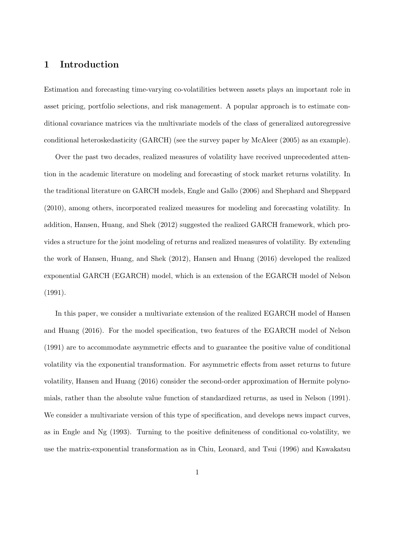## **1 Introduction**

Estimation and forecasting time-varying co-volatilities between assets plays an important role in asset pricing, portfolio selections, and risk management. A popular approach is to estimate conditional covariance matrices via the multivariate models of the class of generalized autoregressive conditional heteroskedasticity (GARCH) (see the survey paper by McAleer (2005) as an example).

Over the past two decades, realized measures of volatility have received unprecedented attention in the academic literature on modeling and forecasting of stock market returns volatility. In the traditional literature on GARCH models, Engle and Gallo (2006) and Shephard and Sheppard (2010), among others, incorporated realized measures for modeling and forecasting volatility. In addition, Hansen, Huang, and Shek (2012) suggested the realized GARCH framework, which provides a structure for the joint modeling of returns and realized measures of volatility. By extending the work of Hansen, Huang, and Shek (2012), Hansen and Huang (2016) developed the realized exponential GARCH (EGARCH) model, which is an extension of the EGARCH model of Nelson (1991).

In this paper, we consider a multivariate extension of the realized EGARCH model of Hansen and Huang (2016). For the model specification, two features of the EGARCH model of Nelson (1991) are to accommodate asymmetric effects and to guarantee the positive value of conditional volatility via the exponential transformation. For asymmetric effects from asset returns to future volatility, Hansen and Huang (2016) consider the second-order approximation of Hermite polynomials, rather than the absolute value function of standardized returns, as used in Nelson (1991). We consider a multivariate version of this type of specification, and develops news impact curves, as in Engle and Ng (1993). Turning to the positive definiteness of conditional co-volatility, we use the matrix-exponential transformation as in Chiu, Leonard, and Tsui (1996) and Kawakatsu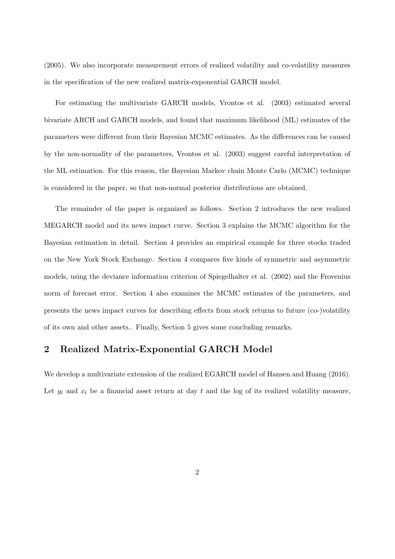(2005). We also incorporate measurement errors of realized volatility and co-volatility measures in the specification of the new realized matrix-exponential GARCH model.

For estimating the multivariate GARCH models, Vrontos et al. (2003) estimated several bivariate ARCH and GARCH models, and found that maximum likelihood (ML) estimates of the parameters were different from their Bayesian MCMC estimates. As the differences can be caused by the non-normality of the parameters, Vrontos et al. (2003) suggest careful interpretation of the ML estimation. For this reason, the Bayesian Markov chain Monte Carlo (MCMC) technique is considered in the paper, so that non-normal posterior distributions are obtained.

The remainder of the paper is organized as follows. Section 2 introduces the new realized MEGARCH model and its news impact curve. Section 3 explains the MCMC algorithm for the Bayesian estimation in detail. Section 4 provides an empirical example for three stocks traded on the New York Stock Exchange. Section 4 compares five kinds of symmetric and asymmetric models, using the deviance information criterion of Spiegelhalter et al. (2002) and the Frovenius norm of forecast error. Section 4 also examines the MCMC estimates of the parameters, and presents the news impact curves for describing effects from stock returns to future (co-)volatility of its own and other assets.. Finally, Section 5 gives some concluding remarks.

#### **2 Realized Matrix-Exponential GARCH Model**

We develop a multivariate extension of the realized EGARCH model of Hansen and Huang (2016). Let  $y_t$  and  $x_t$  be a financial asset return at day  $t$  and the log of its realized volatility measure,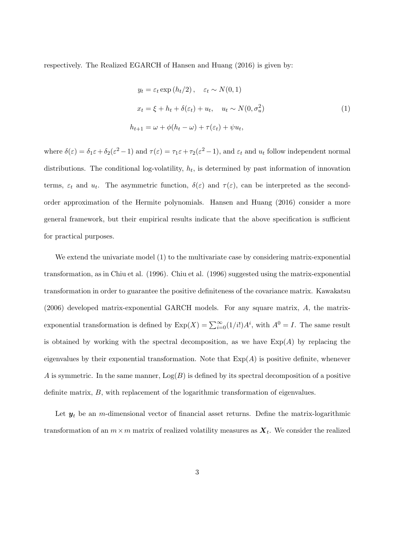respectively. The Realized EGARCH of Hansen and Huang (2016) is given by:

$$
y_t = \varepsilon_t \exp(h_t/2), \quad \varepsilon_t \sim N(0, 1)
$$
  

$$
x_t = \xi + h_t + \delta(\varepsilon_t) + u_t, \quad u_t \sim N(0, \sigma_u^2)
$$
  

$$
h_{t+1} = \omega + \phi(h_t - \omega) + \tau(\varepsilon_t) + \psi u_t,
$$
 (1)

where  $\delta(\varepsilon) = \delta_1 \varepsilon + \delta_2(\varepsilon^2 - 1)$  and  $\tau(\varepsilon) = \tau_1 \varepsilon + \tau_2(\varepsilon^2 - 1)$ , and  $\varepsilon_t$  and  $u_t$  follow independent normal distributions. The conditional log-volatility,  $h_t$ , is determined by past information of innovation terms,  $\varepsilon_t$  and  $u_t$ . The asymmetric function,  $\delta(\varepsilon)$  and  $\tau(\varepsilon)$ , can be interpreted as the secondorder approximation of the Hermite polynomials. Hansen and Huang (2016) consider a more general framework, but their empirical results indicate that the above specification is sufficient for practical purposes.

We extend the univariate model (1) to the multivariate case by considering matrix-exponential transformation, as in Chiu et al. (1996). Chiu et al. (1996) suggested using the matrix-exponential transformation in order to guarantee the positive definiteness of the covariance matrix. Kawakatsu (2006) developed matrix-exponential GARCH models. For any square matrix, *A*, the matrixexponential transformation is defined by  $Exp(X) = \sum_{i=0}^{\infty} (1/i!)A^i$ , with  $A^0 = I$ . The same result is obtained by working with the spectral decomposition, as we have  $Exp(A)$  by replacing the eigenvalues by their exponential transformation. Note that  $\text{Exp}(A)$  is positive definite, whenever *A* is symmetric. In the same manner,  $Log(B)$  is defined by its spectral decomposition of a positive definite matrix, *B*, with replacement of the logarithmic transformation of eigenvalues.

Let  $y_t$  be an *m*-dimensional vector of financial asset returns. Define the matrix-logarithmic transformation of an  $m \times m$  matrix of realized volatility measures as  $\boldsymbol{X}_t$ . We consider the realized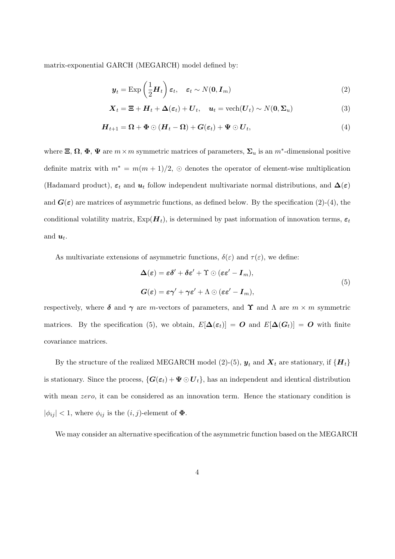matrix-exponential GARCH (MEGARCH) model defined by:

$$
\boldsymbol{y}_t = \text{Exp}\left(\frac{1}{2}\boldsymbol{H}_t\right)\boldsymbol{\varepsilon}_t, \quad \boldsymbol{\varepsilon}_t \sim N(\mathbf{0}, \boldsymbol{I}_m) \tag{2}
$$

$$
\mathbf{X}_t = \mathbf{\Xi} + \mathbf{H}_t + \mathbf{\Delta}(\varepsilon_t) + \mathbf{U}_t, \quad \mathbf{u}_t = \text{vech}(\mathbf{U}_t) \sim N(\mathbf{0}, \mathbf{\Sigma}_u)
$$
(3)

$$
H_{t+1} = \Omega + \Phi \odot (H_t - \Omega) + G(\varepsilon_t) + \Psi \odot U_t, \tag{4}
$$

where  $\Xi$ ,  $\Omega$ ,  $\Phi$ ,  $\Psi$  are  $m \times m$  symmetric matrices of parameters,  $\Sigma_u$  is an  $m^*$ -dimensional positive definite matrix with  $m^* = m(m+1)/2$ ,  $\odot$  denotes the operator of element-wise multiplication (Hadamard product),  $\varepsilon_t$  and  $u_t$  follow independent multivariate normal distributions, and  $\Delta(\varepsilon)$ and  $G(\varepsilon)$  are matrices of asymmetric functions, as defined below. By the specification (2)-(4), the conditional volatility matrix,  $Exp(\boldsymbol{H}_t)$ , is determined by past information of innovation terms,  $\epsilon_t$ and  $u_t$ .

As multivariate extensions of asymmetric functions,  $\delta(\varepsilon)$  and  $\tau(\varepsilon)$ , we define:

$$
\Delta(\varepsilon) = \varepsilon \delta' + \delta \varepsilon' + \Upsilon \odot (\varepsilon \varepsilon' - I_m),
$$
  
\n
$$
G(\varepsilon) = \varepsilon \gamma' + \gamma \varepsilon' + \Lambda \odot (\varepsilon \varepsilon' - I_m),
$$
\n(5)

respectively, where  $\delta$  and  $\gamma$  are *m*-vectors of parameters, and **Υ** and Λ are *m* × *m* symmetric matrices. By the specification (5), we obtain,  $E[\Delta(\epsilon_t)] = O$  and  $E[\Delta(G_t)] = O$  with finite covariance matrices.

By the structure of the realized MEGARCH model (2)-(5),  $y_t$  and  $X_t$  are stationary, if  $\{H_t\}$ is stationary. Since the process,  ${G(\epsilon_t) + \Psi \odot U_t}$ , has an independent and identical distribution with mean *zero*, it can be considered as an innovation term. Hence the stationary condition is  $|\phi_{ij}| < 1$ , where  $\phi_{ij}$  is the  $(i, j)$ -element of  $\Phi$ .

We may consider an alternative specification of the asymmetric function based on the MEGARCH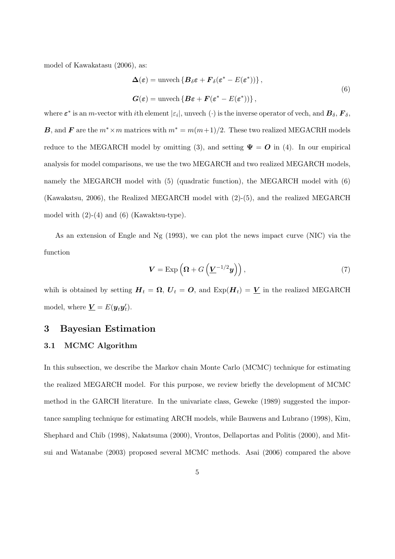model of Kawakatasu (2006), as:

$$
\Delta(\varepsilon) = \text{unvech} \left\{ B_{\delta} \varepsilon + F_{\delta} (\varepsilon^* - E(\varepsilon^*)) \right\},\
$$
  

$$
G(\varepsilon) = \text{unvech} \left\{ B \varepsilon + F(\varepsilon^* - E(\varepsilon^*)) \right\},\
$$
  
(6)

where  $\varepsilon^*$  is an *m*-vector with *i*th element  $|\varepsilon_i|$ , unvech  $(\cdot)$  is the inverse operator of vech, and  $B_\delta, F_\delta$ , *B*, and *F* are the  $m^* \times m$  matrices with  $m^* = m(m+1)/2$ . These two realized MEGACRH models reduce to the MEGARCH model by omitting (3), and setting  $\Psi = O$  in (4). In our empirical analysis for model comparisons, we use the two MEGARCH and two realized MEGARCH models, namely the MEGARCH model with (5) (quadratic function), the MEGARCH model with (6) (Kawakatsu, 2006), the Realized MEGARCH model with (2)-(5), and the realized MEGARCH model with  $(2)-(4)$  and  $(6)$  (Kawaktsu-type).

As an extension of Engle and Ng (1993), we can plot the news impact curve (NIC) via the function

$$
\mathbf{V} = \operatorname{Exp}\left(\mathbf{\Omega} + G\left(\underline{\mathbf{V}}^{-1/2}\mathbf{y}\right)\right),\tag{7}
$$

whih is obtained by setting  $H_t = \Omega$ ,  $U_t = O$ , and  $Exp(H_t) = V$  in the realized MEGARCH model, where  $\underline{\mathbf{V}} = E(\mathbf{y}_t \mathbf{y}_t')$ .

#### **3 Bayesian Estimation**

#### **3.1 MCMC Algorithm**

In this subsection, we describe the Markov chain Monte Carlo (MCMC) technique for estimating the realized MEGARCH model. For this purpose, we review briefly the development of MCMC method in the GARCH literature. In the univariate class, Geweke (1989) suggested the importance sampling technique for estimating ARCH models, while Bauwens and Lubrano (1998), Kim, Shephard and Chib (1998), Nakatsuma (2000), Vrontos, Dellaportas and Politis (2000), and Mitsui and Watanabe (2003) proposed several MCMC methods. Asai (2006) compared the above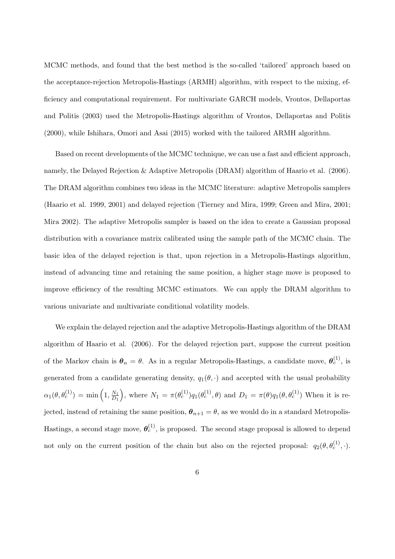MCMC methods, and found that the best method is the so-called 'tailored' approach based on the acceptance-rejection Metropolis-Hastings (ARMH) algorithm, with respect to the mixing, efficiency and computational requirement. For multivariate GARCH models, Vrontos, Dellaportas and Politis (2003) used the Metropolis-Hastings algorithm of Vrontos, Dellaportas and Politis (2000), while Ishihara, Omori and Asai (2015) worked with the tailored ARMH algorithm.

Based on recent developments of the MCMC technique, we can use a fast and efficient approach, namely, the Delayed Rejection & Adaptive Metropolis (DRAM) algorithm of Haario et al. (2006). The DRAM algorithm combines two ideas in the MCMC literature: adaptive Metropolis samplers (Haario et al. 1999, 2001) and delayed rejection (Tierney and Mira, 1999; Green and Mira, 2001; Mira 2002). The adaptive Metropolis sampler is based on the idea to create a Gaussian proposal distribution with a covariance matrix calibrated using the sample path of the MCMC chain. The basic idea of the delayed rejection is that, upon rejection in a Metropolis-Hastings algorithm, instead of advancing time and retaining the same position, a higher stage move is proposed to improve efficiency of the resulting MCMC estimators. We can apply the DRAM algorithm to various univariate and multivariate conditional volatility models.

We explain the delayed rejection and the adaptive Metropolis-Hastings algorithm of the DRAM algorithm of Haario et al. (2006). For the delayed rejection part, suppose the current position of the Markov chain is  $\theta_n = \theta$ . As in a regular Metropolis-Hastings, a candidate move,  $\theta_c^{(1)}$ , is generated from a candidate generating density,  $q_1(\theta, \cdot)$  and accepted with the usual probability  $\alpha_1(\theta, \theta_c^{(1)}) = \min\left(1, \frac{N_1}{D_1}\right)$ *D*<sup>1</sup> ), where  $N_1 = \pi(\theta_c^{(1)}) q_1(\theta_c^{(1)}, \theta)$  and  $D_1 = \pi(\theta) q_1(\theta, \theta_c^{(1)})$  When it is rejected, instead of retaining the same position,  $\theta_{n+1} = \theta$ , as we would do in a standard Metropolis-Hastings, a second stage move,  $\boldsymbol{\theta}_c^{(1)}$ , is proposed. The second stage proposal is allowed to depend not only on the current position of the chain but also on the rejected proposal:  $q_2(\theta, \theta_c^{(1)}, \cdot)$ .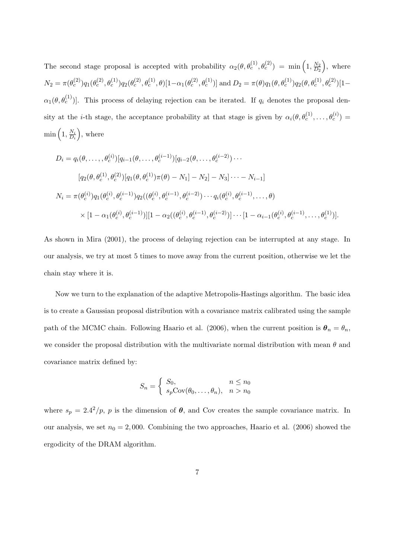The second stage proposal is accepted with probability  $\alpha_2(\theta, \theta_c^{(1)}, \theta_c^{(2)}) = \min\left(1, \frac{N_2}{D_2}\right)$ *D*<sup>2</sup> ) , where  $N_2=\pi(\theta_c^{(2)}) q_1(\theta_c^{(2)},\theta_c^{(1)}) q_2(\theta_c^{(2)},\theta_c^{(1)},\theta)[1-\alpha_1(\theta_c^{(2)},\theta_c^{(1)})] \text{ and } D_2=\pi(\theta)q_1(\theta,\theta_c^{(1)}) q_2(\theta,\theta_c^{(1)},\theta_c^{(2)})[1-\alpha_1(\theta_c^{(2)},\theta_c^{(1)})]$  $\alpha_1(\theta, \theta_c^{(1)})$ . This process of delaying rejection can be iterated. If  $q_i$  denotes the proposal density at the *i*-th stage, the acceptance probability at that stage is given by  $\alpha_i(\theta, \theta_c^{(1)}, \ldots, \theta_c^{(i)}) =$  $\min\left(1, \frac{N_i}{D_i}\right)$ *D<sup>i</sup>* ) , where

$$
D_{i} = q_{i}(\theta, \ldots, \theta_{c}^{(i)})[q_{i-1}(\theta, \ldots, \theta_{c}^{(i-1)})[q_{i-2}(\theta, \ldots, \theta_{c}^{(i-2)})\cdots
$$
  

$$
[q_{2}(\theta, \theta_{c}^{(1)}, \theta_{c}^{(2)})[q_{1}(\theta, \theta_{c}^{(1)})\pi(\theta) - N_{1}] - N_{2}] - N_{3}] \cdots - N_{i-1}]
$$
  

$$
N_{i} = \pi(\theta_{c}^{(i)})q_{1}(\theta_{c}^{(i)}, \theta_{c}^{(i-1)})q_{2}((\theta_{c}^{(i)}, \theta_{c}^{(i-1)}, \theta_{c}^{(i-2)})\cdots q_{i}(\theta_{c}^{(i)}, \theta_{c}^{(i-1)}, \ldots, \theta)
$$
  

$$
\times [1 - \alpha_{1}(\theta_{c}^{(i)}, \theta_{c}^{(i-1)})][1 - \alpha_{2}((\theta_{c}^{(i)}, \theta_{c}^{(i-1)}, \theta_{c}^{(i-2)})]\cdots [1 - \alpha_{i-1}(\theta_{c}^{(i)}, \theta_{c}^{(i-1)}, \ldots, \theta_{c}^{(1)})].
$$

As shown in Mira (2001), the process of delaying rejection can be interrupted at any stage. In our analysis, we try at most 5 times to move away from the current position, otherwise we let the chain stay where it is.

Now we turn to the explanation of the adaptive Metropolis-Hastings algorithm. The basic idea is to create a Gaussian proposal distribution with a covariance matrix calibrated using the sample path of the MCMC chain. Following Haario et al. (2006), when the current position is  $\theta_n = \theta_n$ , we consider the proposal distribution with the multivariate normal distribution with mean *θ* and covariance matrix defined by:

$$
S_n = \begin{cases} S_0, & n \le n_0 \\ s_p \text{Cov}(\theta_0, \dots, \theta_n), & n > n_0 \end{cases}
$$

where  $s_p = 2.4^2/p$ , *p* is the dimension of  $\theta$ , and Cov creates the sample covariance matrix. In our analysis, we set  $n_0 = 2,000$ . Combining the two approaches, Haario et al. (2006) showed the ergodicity of the DRAM algorithm.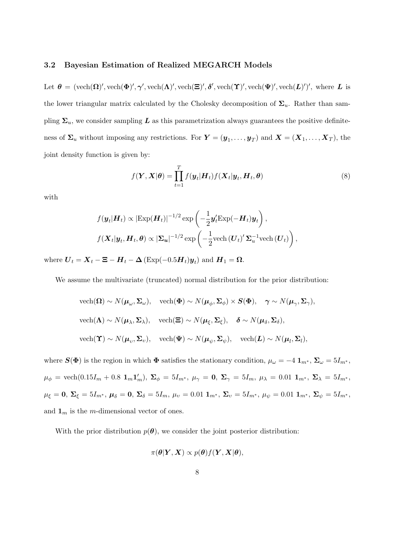#### **3.2 Bayesian Estimation of Realized MEGARCH Models**

Let  $\theta = (\text{vech}(\Omega)', \text{vech}(\Phi)', \gamma', \text{vech}(\Lambda)', \text{vech}(\Xi)', \delta', \text{vech}(\Upsilon)', \text{vech}(\Psi)', \text{vech}(L)')', \text{ where } L \text{ is }$ the lower triangular matrix calculated by the Cholesky decomposition of  $\Sigma_u$ . Rather than sampling  $\Sigma_u$ , we consider sampling *L* as this parametrization always guarantees the positive definiteness of  $\Sigma_u$  without imposing any restrictions. For  $Y = (\mathbf{y}_1, \dots, \mathbf{y}_T)$  and  $X = (X_1, \dots, X_T)$ , the joint density function is given by:

$$
f(\boldsymbol{Y}, \boldsymbol{X}|\boldsymbol{\theta}) = \prod_{t=1}^{T} f(\boldsymbol{y}_t | \boldsymbol{H}_t) f(\boldsymbol{X}_t | \boldsymbol{y}_t, \boldsymbol{H}_t, \boldsymbol{\theta})
$$
\n(8)

with

$$
f(\mathbf{y}_t|\mathbf{H}_t) \propto |\text{Exp}(\mathbf{H}_t)|^{-1/2} \exp\left(-\frac{1}{2}\mathbf{y}_t' \text{Exp}(-\mathbf{H}_t)\mathbf{y}_t\right),
$$
  

$$
f(\mathbf{X}_t|\mathbf{y}_t, \mathbf{H}_t, \boldsymbol{\theta}) \propto |\boldsymbol{\Sigma}_u|^{-1/2} \exp\left(-\frac{1}{2}\text{vech}\left(\mathbf{U}_t\right)'\boldsymbol{\Sigma}_u^{-1}\text{vech}\left(\mathbf{U}_t\right)\right),
$$

where  $\boldsymbol{U}_t = \boldsymbol{X}_t - \boldsymbol{\Xi} - \boldsymbol{H}_t - \boldsymbol{\Delta} \left( \text{Exp}(-0.5\boldsymbol{H}_t) \boldsymbol{y}_t \right)$  and  $\boldsymbol{H}_1 = \boldsymbol{\Omega}$ .

We assume the multivariate (truncated) normal distribution for the prior distribution:

vech(
$$
\Omega
$$
) ~  $N(\mu_{\omega}, \Sigma_{\omega})$ , vech( $\Phi$ ) ~  $N(\mu_{\phi}, \Sigma_{\phi}) \times S(\Phi)$ ,  $\gamma \sim N(\mu_{\gamma}, \Sigma_{\gamma})$ ,  
vech( $\Lambda$ ) ~  $N(\mu_{\lambda}, \Sigma_{\lambda})$ , vech( $\Xi$ ) ~  $N(\mu_{\xi}, \Sigma_{\xi})$ ,  $\delta \sim N(\mu_{\delta}, \Sigma_{\delta})$ ,  
vech( $\Upsilon$ ) ~  $N(\mu_{\upsilon}, \Sigma_{\upsilon})$ , vech( $\Psi$ ) ~  $N(\mu_{\psi}, \Sigma_{\psi})$ , vech( $L$ ) ~  $N(\mu_{l}, \Sigma_{l})$ ,

where  $S(\Phi)$  is the region in which  $\Phi$  satisfies the stationary condition,  $\mu_{\omega} = -4 \mathbf{1}_{m^*}, \Sigma_{\omega} = 5I_{m^*}$ ,  $\mu_{\phi}\,=\,\text{vech}(0.15I_m+0.8~\mathbf{1}_m\mathbf{1}'_m),~\mathbf{\Sigma}_{\phi}\,=\,5I_{m^*},~\mu_{\gamma}\,=\,\mathbf{0},~\mathbf{\Sigma}_{\gamma}\,=\,5I_m,~\mu_{\lambda}\,=\,0.01~\mathbf{1}_{m^*},~\mathbf{\Sigma}_{\lambda}\,=\,5I_{m^*},$  $\mu_{\xi} = 0$ ,  $\Sigma_{\xi} = 5I_{m^*}$ ,  $\mu_{\delta} = 0$ ,  $\Sigma_{\delta} = 5I_m$ ,  $\mu_v = 0.01 \mathbf{1}_{m^*}$ ,  $\Sigma_v = 5I_{m^*}$ ,  $\mu_{\psi} = 0.01 \mathbf{1}_{m^*}$ ,  $\Sigma_{\psi} = 5I_{m^*}$ , and  $\mathbf{1}_m$  is the *m*-dimensional vector of ones.

With the prior distribution  $p(\theta)$ , we consider the joint posterior distribution:

$$
\pi(\boldsymbol{\theta}|\boldsymbol{Y},\boldsymbol{X}) \propto p(\boldsymbol{\theta})f(\boldsymbol{Y},\boldsymbol{X}|\boldsymbol{\theta}),
$$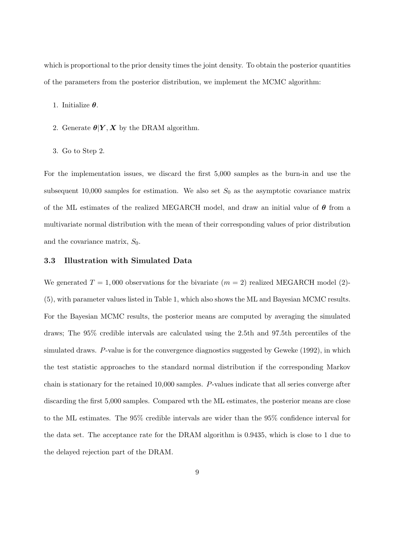which is proportional to the prior density times the joint density. To obtain the posterior quantities of the parameters from the posterior distribution, we implement the MCMC algorithm:

- 1. Initialize *θ*.
- 2. Generate  $\theta|Y, X$  by the DRAM algorithm.
- 3. Go to Step 2.

For the implementation issues, we discard the first 5,000 samples as the burn-in and use the subsequent 10,000 samples for estimation. We also set  $S_0$  as the asymptotic covariance matrix of the ML estimates of the realized MEGARCH model, and draw an initial value of *θ* from a multivariate normal distribution with the mean of their corresponding values of prior distribution and the covariance matrix, *S*0.

#### **3.3 Illustration with Simulated Data**

We generated  $T = 1,000$  observations for the bivariate  $(m = 2)$  realized MEGARCH model (2)-(5), with parameter values listed in Table 1, which also shows the ML and Bayesian MCMC results. For the Bayesian MCMC results, the posterior means are computed by averaging the simulated draws; The 95% credible intervals are calculated using the 2.5th and 97.5th percentiles of the simulated draws. *P*-value is for the convergence diagnostics suggested by Geweke (1992), in which the test statistic approaches to the standard normal distribution if the corresponding Markov chain is stationary for the retained 10,000 samples. *P*-values indicate that all series converge after discarding the first 5,000 samples. Compared wth the ML estimates, the posterior means are close to the ML estimates. The 95% credible intervals are wider than the 95% confidence interval for the data set. The acceptance rate for the DRAM algorithm is 0.9435, which is close to 1 due to the delayed rejection part of the DRAM.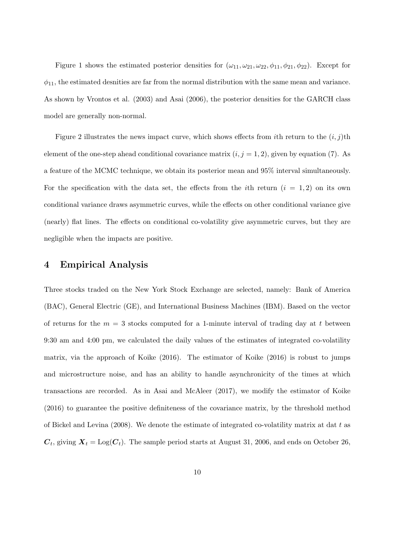Figure 1 shows the estimated posterior densities for  $(\omega_{11}, \omega_{21}, \omega_{22}, \phi_{11}, \phi_{21}, \phi_{22})$ . Except for  $\phi_{11}$ , the estimated desnities are far from the normal distribution with the same mean and variance. As shown by Vrontos et al. (2003) and Asai (2006), the posterior densities for the GARCH class model are generally non-normal.

Figure 2 illustrates the news impact curve, which shows effects from *i*th return to the  $(i, j)$ th element of the one-step ahead conditional covariance matrix  $(i, j = 1, 2)$ , given by equation (7). As a feature of the MCMC technique, we obtain its posterior mean and 95% interval simultaneously. For the specification with the data set, the effects from the *i*th return  $(i = 1, 2)$  on its own conditional variance draws asymmetric curves, while the effects on other conditional variance give (nearly) flat lines. The effects on conditional co-volatility give asymmetric curves, but they are negligible when the impacts are positive.

#### **4 Empirical Analysis**

Three stocks traded on the New York Stock Exchange are selected, namely: Bank of America (BAC), General Electric (GE), and International Business Machines (IBM). Based on the vector of returns for the  $m = 3$  stocks computed for a 1-minute interval of trading day at t between 9:30 am and 4:00 pm, we calculated the daily values of the estimates of integrated co-volatility matrix, via the approach of Koike (2016). The estimator of Koike (2016) is robust to jumps and microstructure noise, and has an ability to handle asynchronicity of the times at which transactions are recorded. As in Asai and McAleer (2017), we modify the estimator of Koike (2016) to guarantee the positive definiteness of the covariance matrix, by the threshold method of Bickel and Levina (2008). We denote the estimate of integrated co-volatility matrix at dat *t* as  $\bm{C}_t$ , giving  $\bm{X}_t = \text{Log}(\bm{C}_t)$ . The sample period starts at August 31, 2006, and ends on October 26,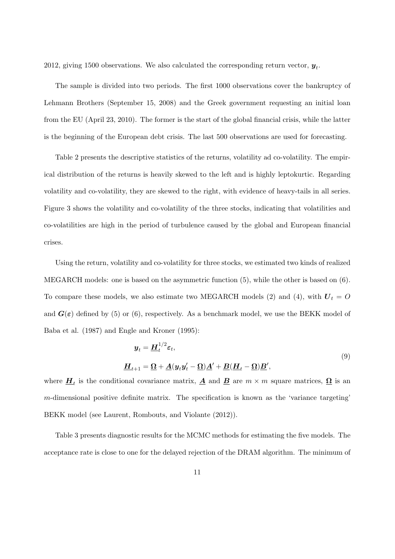2012, giving 1500 observations. We also calculated the corresponding return vector,  $y_t$ .

The sample is divided into two periods. The first 1000 observations cover the bankruptcy of Lehmann Brothers (September 15, 2008) and the Greek government requesting an initial loan from the EU (April 23, 2010). The former is the start of the global financial crisis, while the latter is the beginning of the European debt crisis. The last 500 observations are used for forecasting.

Table 2 presents the descriptive statistics of the returns, volatility ad co-volatility. The empirical distribution of the returns is heavily skewed to the left and is highly leptokurtic. Regarding volatility and co-volatility, they are skewed to the right, with evidence of heavy-tails in all series. Figure 3 shows the volatility and co-volatility of the three stocks, indicating that volatilities and co-volatilities are high in the period of turbulence caused by the global and European financial crises.

Using the return, volatility and co-volatility for three stocks, we estimated two kinds of realized MEGARCH models: one is based on the asymmetric function (5), while the other is based on (6). To compare these models, we also estimate two MEGARCH models (2) and (4), with  $U_t = O$ and  $G(\varepsilon)$  defined by (5) or (6), respectively. As a benchmark model, we use the BEKK model of Baba et al. (1987) and Engle and Kroner (1995):

$$
y_t = \underline{H}_t^{1/2} \varepsilon_t,
$$
  

$$
\underline{H}_{t+1} = \underline{\Omega} + \underline{A}(y_t y_t' - \underline{\Omega}) \underline{A}' + \underline{B}(\underline{H}_t - \underline{\Omega}) \underline{B}',
$$
\n(9)

where  $\underline{H}_t$  is the conditional covariance matrix,  $\underline{A}$  and  $\underline{B}$  are  $m \times m$  square matrices,  $\underline{\Omega}$  is an *m*-dimensional positive definite matrix. The specification is known as the 'variance targeting' BEKK model (see Laurent, Rombouts, and Violante (2012)).

Table 3 presents diagnostic results for the MCMC methods for estimating the five models. The acceptance rate is close to one for the delayed rejection of the DRAM algorithm. The minimum of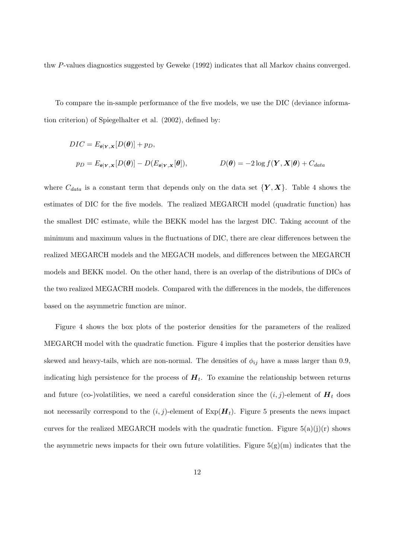thw *P*-values diagnostics suggested by Geweke (1992) indicates that all Markov chains converged.

To compare the in-sample performance of the five models, we use the DIC (deviance information criterion) of Spiegelhalter et al. (2002), defined by:

$$
DIC = E_{\theta|Y,X}[D(\theta)] + p_D,
$$
  
\n
$$
p_D = E_{\theta|Y,X}[D(\theta)] - D(E_{\theta|Y,X}[\theta]), \qquad D(\theta) = -2\log f(Y,X|\theta) + C_{data}
$$

where  $C_{data}$  is a constant term that depends only on the data set  $\{Y, X\}$ . Table 4 shows the estimates of DIC for the five models. The realized MEGARCH model (quadratic function) has the smallest DIC estimate, while the BEKK model has the largest DIC. Taking account of the minimum and maximum values in the fluctuations of DIC, there are clear differences between the realized MEGARCH models and the MEGACH models, and differences between the MEGARCH models and BEKK model. On the other hand, there is an overlap of the distributions of DICs of the two realized MEGACRH models. Compared with the differences in the models, the differences based on the asymmetric function are minor.

Figure 4 shows the box plots of the posterior densities for the parameters of the realized MEGARCH model with the quadratic function. Figure 4 implies that the posterior densities have skewed and heavy-tails, which are non-normal. The densities of  $\phi_{ij}$  have a mass larger than 0.9, indicating high persistence for the process of  $H_t$ . To examine the relationship between returns and future (co-)volatilities, we need a careful consideration since the  $(i, j)$ -element of  $H_t$  does not necessarily correspond to the  $(i, j)$ -element of  $Exp(H_t)$ . Figure 5 presents the news impact curves for the realized MEGARCH models with the quadratic function. Figure  $5(a)(j)(r)$  shows the asymmetric news impacts for their own future volatilities. Figure  $5(g)(m)$  indicates that the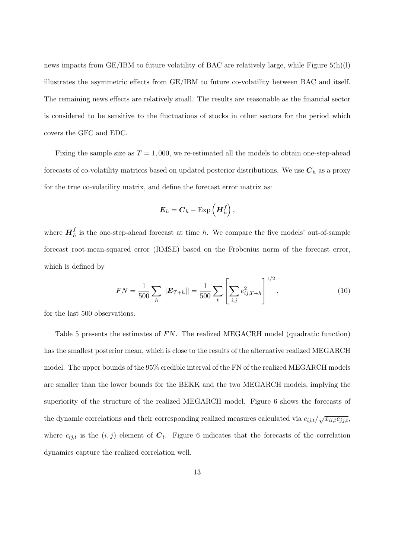news impacts from  $GE/IBM$  to future volatility of BAC are relatively large, while Figure  $5(h)(l)$ illustrates the asymmetric effects from GE/IBM to future co-volatility between BAC and itself. The remaining news effects are relatively small. The results are reasonable as the financial sector is considered to be sensitive to the fluctuations of stocks in other sectors for the period which covers the GFC and EDC.

Fixing the sample size as  $T = 1,000$ , we re-estimated all the models to obtain one-step-ahead forecasts of co-volatility matrices based on updated posterior distributions. We use  $C_h$  as a proxy for the true co-volatility matrix, and define the forecast error matrix as:

$$
\boldsymbol{E}_h = \boldsymbol{C}_h - \operatorname{Exp}\left(\boldsymbol{H}_h^f\right),
$$

where  $H_h^f$  is the one-step-ahead forecast at time *h*. We compare the five models' out-of-sample forecast root-mean-squared error (RMSE) based on the Frobenius norm of the forecast error, which is defined by

$$
FN = \frac{1}{500} \sum_{h} ||\mathbf{E}_{T+h}|| = \frac{1}{500} \sum_{t} \left[ \sum_{i,j} e_{ij,T+h}^2 \right]^{1/2}, \qquad (10)
$$

1*/*2

for the last 500 observations.

Table 5 presents the estimates of FN. The realized MEGACRH model (quadratic function) has the smallest posterior mean, which is close to the results of the alternative realized MEGARCH model. The upper bounds of the 95% credible interval of the FN of the realized MEGARCH models are smaller than the lower bounds for the BEKK and the two MEGARCH models, implying the superiority of the structure of the realized MEGARCH model. Figure 6 shows the forecasts of the dynamic correlations and their corresponding realized measures calculated via  $c_{ij,t}/\sqrt{x_{ii,t}c_{jj,t}}$ where  $c_{ij,t}$  is the  $(i, j)$  element of  $C_t$ . Figure 6 indicates that the forecasts of the correlation dynamics capture the realized correlation well.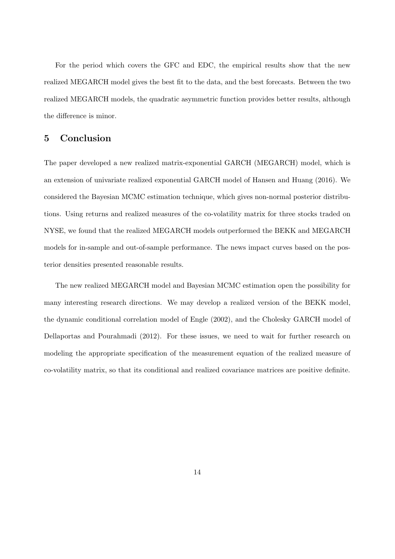For the period which covers the GFC and EDC, the empirical results show that the new realized MEGARCH model gives the best fit to the data, and the best forecasts. Between the two realized MEGARCH models, the quadratic asymmetric function provides better results, although the difference is minor.

### **5 Conclusion**

The paper developed a new realized matrix-exponential GARCH (MEGARCH) model, which is an extension of univariate realized exponential GARCH model of Hansen and Huang (2016). We considered the Bayesian MCMC estimation technique, which gives non-normal posterior distributions. Using returns and realized measures of the co-volatility matrix for three stocks traded on NYSE, we found that the realized MEGARCH models outperformed the BEKK and MEGARCH models for in-sample and out-of-sample performance. The news impact curves based on the posterior densities presented reasonable results.

The new realized MEGARCH model and Bayesian MCMC estimation open the possibility for many interesting research directions. We may develop a realized version of the BEKK model, the dynamic conditional correlation model of Engle (2002), and the Cholesky GARCH model of Dellaportas and Pourahmadi (2012). For these issues, we need to wait for further research on modeling the appropriate specification of the measurement equation of the realized measure of co-volatility matrix, so that its conditional and realized covariance matrices are positive definite.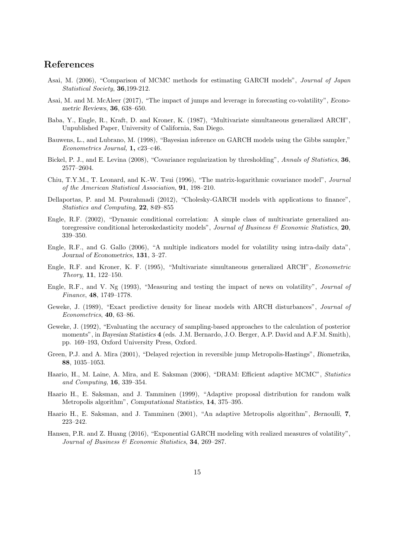#### **References**

- Asai, M. (2006), "Comparison of MCMC methods for estimating GARCH models", *Journal of Japan Statistical Society*, **36**,199-212.
- Asai, M. and M. McAleer (2017), "The impact of jumps and leverage in forecasting co-volatility", *Econometric Reviews*, **36**, 638–650.
- Baba, Y., Engle, R., Kraft, D. and Kroner, K. (1987), "Multivariate simultaneous generalized ARCH", Unpublished Paper, University of California, San Diego.
- Bauwens, L., and Lubrano, M. (1998), "Bayesian inference on GARCH models using the Gibbs sampler," *Econometrics Journal,* **1,** c23–c46.
- Bickel, P. J., and E. Levina (2008), "Covariance regularization by thresholding", *Annals of Statistics*, **36**, 2577–2604.
- Chiu, T.Y.M., T. Leonard, and K.-W. Tsui (1996), "The matrix-logarithmic covariance model", *Journal of the American Statistical Association*, **91**, 198–210.
- Dellaportas, P. and M. Pourahmadi (2012), "Cholesky-GARCH models with applications to finance", *Statistics and Computing*, **22**, 849–855
- Engle, R.F. (2002), "Dynamic conditional correlation: A simple class of multivariate generalized autoregressive conditional heteroskedasticity models", *Journal of Business & Economic Statistics*, **20**, 339–350.
- Engle, R.F., and G. Gallo (2006), "A multiple indicators model for volatility using intra-daily data", *Journal of Econometrics*, **131**, 3–27.
- Engle, R.F. and Kroner, K. F. (1995), "Multivariate simultaneous generalized ARCH", *Econometric Theory*, **11**, 122–150.
- Engle, R.F., and V. Ng (1993), "Measuring and testing the impact of news on volatility", *Journal of Finance*, **48**, 1749–1778.
- Geweke, J. (1989), "Exact predictive density for linear models with ARCH disturbances", *Journal of Econometrics*, **40**, 63–86.
- Geweke, J. (1992), "Evaluating the accuracy of sampling-based approaches to the calculation of posterior moments", in *Bayesian Statistics* **4** (eds. J.M. Bernardo, J.O. Berger, A.P. David and A.F.M. Smith), pp. 169–193, Oxford University Press, Oxford.
- Green, P.J. and A. Mira (2001), "Delayed rejection in reversible jump Metropolis-Hastings", *Biometrika*, **88**, 1035–1053.
- Haario, H., M. Laine, A. Mira, and E. Saksman (2006), "DRAM: Efficient adaptive MCMC", *Statistics and Computing*, **16**, 339–354.
- Haario H., E. Saksman, and J. Tamminen (1999), "Adaptive proposal distribution for random walk Metropolis algorithm", *Computational Statistics*, **14**, 375–395.
- Haario H., E. Saksman, and J. Tamminen (2001), "An adaptive Metropolis algorithm", *Bernoulli*, **7**, 223–242.
- Hansen, P.R. and Z. Huang (2016), "Exponential GARCH modeling with realized measures of volatility", *Journal of Business & Economic Statistics*, **34**, 269–287.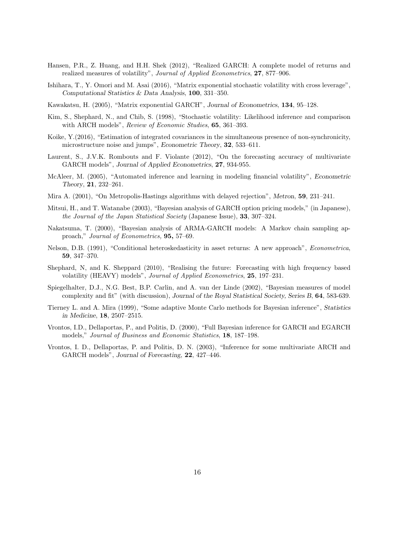- Hansen, P.R., Z. Huang, and H.H. Shek (2012), "Realized GARCH: A complete model of returns and realized measures of volatility", *Journal of Applied Econometrics*, **27**, 877–906.
- Ishihara, T., Y. Omori and M. Asai (2016), "Matrix exponential stochastic volatility with cross leverage", *Computational Statistics & Data Analysis*, **100**, 331–350.
- Kawakatsu, H. (2005), "Matrix exponential GARCH", *Journal of Econometrics*, **134**, 95–128.
- Kim, S., Shephard, N., and Chib, S. (1998), "Stochastic volatility: Likelihood inference and comparison with ARCH models", *Review of Economic Studies*, **65**, 361–393.
- Koike, Y.(2016), "Estimation of integrated covariances in the simultaneous presence of non-synchronicity, microstructure noise and jumps", *Econometric Theory*, **32**, 533–611.
- Laurent, S., J.V.K. Rombouts and F. Violante (2012), "On the forecasting accuracy of multivariate GARCH models", *Journal of Applied Econometrics*, **27**, 934-955.
- McAleer, M. (2005), "Automated inference and learning in modeling financial volatility", *Econometric Theory*, **21**, 232–261.
- Mira A. (2001), "On Metropolis-Hastings algorithms with delayed rejection", *Metron*, **59**, 231–241.
- Mitsui, H., and T. Watanabe (2003), "Bayesian analysis of GARCH option pricing models," (in Japanese), *the Journal of the Japan Statistical Society* (Japanese Issue), **33**, 307–324.
- Nakatsuma, T. (2000), "Bayesian analysis of ARMA-GARCH models: A Markov chain sampling approach," *Journal of Econometrics,* **95,** 57–69.
- Nelson, D.B. (1991), "Conditional heteroskedasticity in asset returns: A new approach", *Econometrica*, **59**, 347–370.
- Shephard, N, and K. Sheppard (2010), "Realising the future: Forecasting with high frequency based volatility (HEAVY) models", *Journal of Applied Econometrics*, **25**, 197–231.
- Spiegelhalter, D.J., N.G. Best, B.P. Carlin, and A. van der Linde (2002), "Bayesian measures of model complexity and fit" (with discussion), *Journal of the Royal Statistical Society, Series B*, **64**, 583-639.
- Tierney L. and A. Mira (1999), "Some adaptive Monte Carlo methods for Bayesian inference", *Statistics in Medicine*, **18**, 2507–2515.
- Vrontos, I.D., Dellaportas, P., and Politis, D. (2000), "Full Bayesian inference for GARCH and EGARCH models," *Journal of Business and Economic Statistics*, **18**, 187–198.
- Vrontos, I. D., Dellaportas, P. and Politis, D. N. (2003), "Inference for some multivariate ARCH and GARCH models", *Journal of Forecasting*, **22**, 427–446.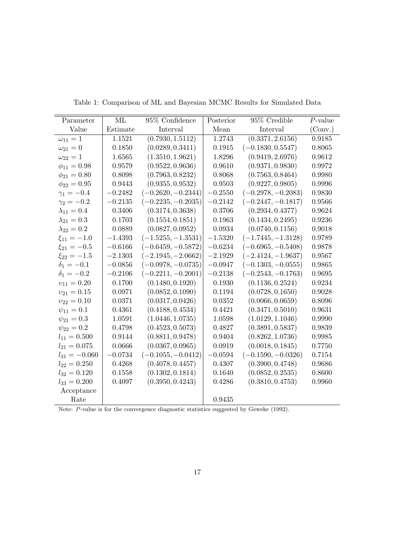| Parameter            | ML        | 95\% Confidence      | Posterior | 95% Credible         | $P$ -value |
|----------------------|-----------|----------------------|-----------|----------------------|------------|
| Value                | Estimate  | Interval             | Mean      | Interval             | (Conv.)    |
| $\omega_{11}=1$      | 1.1521    | (0.7930, 1.5112)     | 1.2743    | (0.3371, 2.6156)     | 0.9185     |
| $\omega_{21} = 0$    | 0.1850    | (0.0289, 0.3411)     | 0.1915    | $(-0.1830, 0.5547)$  | 0.8065     |
| $\omega_{22} = 1$    | 1.6565    | (1.3510, 1.9621)     | 1.8296    | (0.9419, 2.6976)     | 0.9612     |
| $\phi_{11} = 0.98$   | 0.9579    | (0.9522, 0.9636)     | 0.9610    | (0.9371, 0.9830)     | 0.9972     |
| $\phi_{21} = 0.80$   | 0.8098    | (0.7963, 0.8232)     | 0.8068    | (0.7563, 0.8464)     | 0.9980     |
| $\phi_{22} = 0.95$   | 0.9443    | (0.9355, 0.9532)     | 0.9503    | (0.9227, 0.9805)     | 0.9996     |
| $\gamma_1 = -0.4$    | $-0.2482$ | $(-0.2620, -0.2344)$ | $-0.2550$ | $(-0.2978, -0.2083)$ | 0.9830     |
| $\gamma_2 = -0.2$    | $-0.2135$ | $(-0.2235, -0.2035)$ | $-0.2142$ | $(-0.2447, -0.1817)$ | 0.9566     |
| $\lambda_{11} = 0.4$ | 0.3406    | (0.3174, 0.3638)     | 0.3706    | (0.2934, 0.4377)     | 0.9624     |
| $\lambda_{21} = 0.3$ | 0.1703    | (0.1554, 0.1851)     | 0.1963    | (0.1434, 0.2495)     | 0.9236     |
| $\lambda_{22} = 0.2$ | 0.0889    | (0.0827, 0.0952)     | 0.0934    | (0.0740, 0.1156)     | 0.9018     |
| $\xi_{11} = -1.0$    | $-1.4393$ | $(-1.5255, -1.3531)$ | $-1.5320$ | $(-1.7445, -1.3128)$ | 0.9789     |
| $\xi_{21} = -0.5$    | $-0.6166$ | $(-0.6459, -0.5872)$ | $-0.6234$ | $(-0.6965, -0.5408)$ | 0.9878     |
| $\xi_{22} = -1.5$    | $-2.1303$ | $(-2.1945, -2.0662)$ | $-2.1929$ | $(-2.4124, -1.9637)$ | 0.9567     |
| $\delta_1 = -0.1$    | $-0.0856$ | $(-0.0978, -0.0735)$ | $-0.0947$ | $(-0.1303, -0.0555)$ | 0.9865     |
| $\delta_1 = -0.2$    | $-0.2106$ | $(-0.2211, -0.2001)$ | $-0.2138$ | $(-0.2543, -0.1763)$ | 0.9695     |
| $v_{11} = 0.20$      | 0.1700    | (0.1480, 0.1920)     | 0.1930    | (0.1136, 0.2524)     | 0.9234     |
| $v_{21} = 0.15$      | 0.0971    | (0.0852, 0.1090)     | 0.1194    | (0.0728, 0.1650)     | 0.9028     |
| $v_{22} = 0.10$      | 0.0371    | (0.0317, 0.0426)     | 0.0352    | (0.0066, 0.0659)     | 0.8096     |
| $\psi_{11} = 0.1$    | 0.4361    | (0.4188, 0.4534)     | 0.4421    | (0.3471, 0.5010)     | 0.9631     |
| $\psi_{21} = 0.3$    | 1.0591    | (1.0446, 1.0735)     | 1.0598    | (1.0129, 1.1046)     | 0.9990     |
| $\psi_{22} = 0.2$    | 0.4798    | (0.4523, 0.5073)     | 0.4827    | (0.3891, 0.5837)     | 0.9839     |
| $l_{11} = 0.500$     | 0.9144    | (0.8811, 0.9478)     | 0.9404    | (0.8262, 1.0736)     | 0.9985     |
| $l_{21} = 0.075$     | 0.0666    | (0.0367, 0.0965)     | 0.0919    | (0.0018, 0.1845)     | 0.7750     |
| $l_{31} = -0.060$    | $-0.0734$ | $(-0.1055, -0.0412)$ | $-0.0594$ | $(-0.1590, -0.0326)$ | 0.7154     |
| $l_{22}=0.250$       | 0.4268    | (0.4078, 0.4457)     | 0.4307    | (0.3900, 0.4748)     | 0.9686     |
| $l_{32} = 0.120$     | 0.1558    | (0.1302, 0.1814)     | 0.1640    | (0.0852, 0.2535)     | 0.8600     |
| $l_{33} = 0.200$     | 0.4097    | (0.3950, 0.4243)     | 0.4286    | (0.3810, 0.4753)     | 0.9960     |
| Acceptance           |           |                      |           |                      |            |
| Rate                 |           |                      | 0.9435    |                      |            |

Table 1: Comparison of ML and Bayesian MCMC Results for Simulated Data

Note: *P*-value is for the convergence diagnostic statistics suggested by Geweke (1992).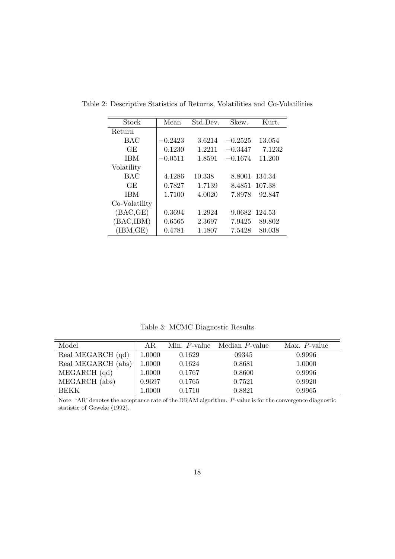| Stock         | Mean      | Std.Dev. | Skew.     | Kurt.  |
|---------------|-----------|----------|-----------|--------|
| Return        |           |          |           |        |
| BAC           | $-0.2423$ | 3.6214   | $-0.2525$ | 13.054 |
| GE            | 0.1230    | 1.2211   | $-0.3447$ | 7.1232 |
| <b>IBM</b>    | $-0.0511$ | 1.8591   | $-0.1674$ | 11.200 |
| Volatility    |           |          |           |        |
| <b>BAC</b>    | 4.1286    | 10.338   | 8.8001    | 134.34 |
| GE            | 0.7827    | 1.7139   | 8.4851    | 107.38 |
| <b>IBM</b>    | 1.7100    | 4.0020   | 7.8978    | 92.847 |
| Co-Volatility |           |          |           |        |
| (BAC, GE)     | 0.3694    | 1.2924   | 9.0682    | 124.53 |
| (BAC, IBM)    | 0.6565    | 2.3697   | 7.9425    | 89.802 |
| (IBM, GE)     | 0.4781    | 1.1807   | 7.5428    | 80.038 |

Table 2: Descriptive Statistics of Returns, Volatilities and Co-Volatilities

Table 3: MCMC Diagnostic Results

| Model              | AR.    | Min. P-value | Median P-value | $Max. P-value$ |
|--------------------|--------|--------------|----------------|----------------|
| Real MEGARCH (qd)  | 1.0000 | 0.1629       | 09345          | 0.9996         |
| Real MEGARCH (abs) | 1.0000 | 0.1624       | 0.8681         | 1.0000         |
| MEGARCH (qd)       | 1.0000 | 0.1767       | 0.8600         | 0.9996         |
| MEGARCH (abs)      | 0.9697 | 0.1765       | 0.7521         | 0.9920         |
| <b>BEKK</b>        | 1.0000 | 0.1710       | 0.8821         | 0.9965         |

Note: 'AR' denotes the acceptance rate of the DRAM algorithm. *P*-value is for the convergence diagnostic statistic of Geweke (1992).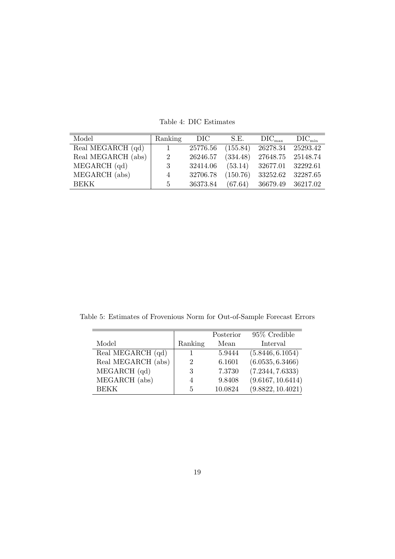| Model              | Ranking        | DIC-     | S.E.     | $\rm DIC_{max}$   | $\text{DIC}_{\text{min}}$ |
|--------------------|----------------|----------|----------|-------------------|---------------------------|
| Real MEGARCH (qd)  |                | 25776.56 | (155.84) | 26278.34 25293.42 |                           |
| Real MEGARCH (abs) | 2              | 26246.57 | (334.48) | 27648.75 25148.74 |                           |
| $MEGARCH$ (qd)     | 3              | 32414.06 | (53.14)  | 32677.01 32292.61 |                           |
| MEGARCH (abs)      | $\overline{4}$ | 32706.78 | (150.76) | 33252.62          | 32287.65                  |
| <b>BEKK</b>        | $\frac{5}{2}$  | 36373.84 | (67.64)  | 36679.49          | 36217.02                  |

Table 4: DIC Estimates

Table 5: Estimates of Frovenious Norm for Out-of-Sample Forecast Errors

|                    |         | Posterior | 95% Credible      |
|--------------------|---------|-----------|-------------------|
| Model              | Ranking | Mean      | Interval          |
| Real MEGARCH (qd)  |         | 5.9444    | (5.8446, 6.1054)  |
| Real MEGARCH (abs) | 2       | 6.1601    | (6.0535, 6.3466)  |
| MEGARCH (qd)       | 3       | 7.3730    | (7.2344, 7.6333)  |
| MEGARCH (abs)      | 4       | 9.8408    | (9.6167, 10.6414) |
| <b>BEKK</b>        | 5       | 10.0824   | (9.8822, 10.4021) |
|                    |         |           |                   |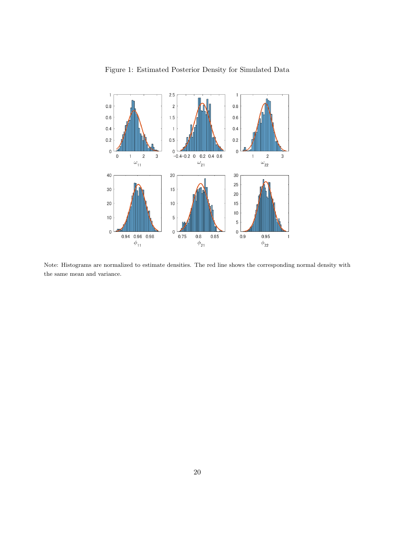

Figure 1: Estimated Posterior Density for Simulated Data

Note: Histograms are normalized to estimate densities. The red line shows the corresponding normal density with the same mean and variance.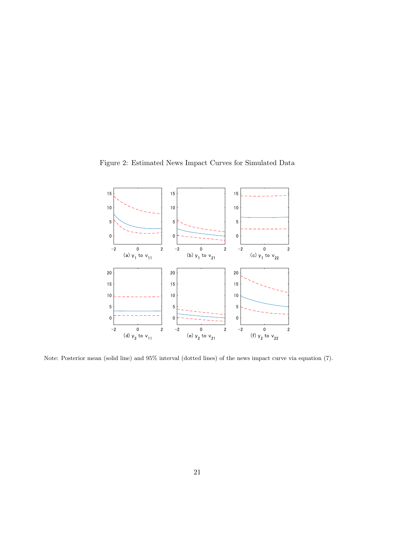

Figure 2: Estimated News Impact Curves for Simulated Data

Note: Posterior mean (solid line) and 95% interval (dotted lines) of the news impact curve via equation (7).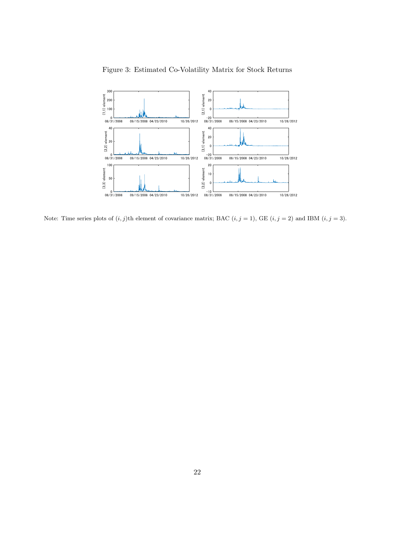

Figure 3: Estimated Co-Volatility Matrix for Stock Returns

Note: Time series plots of  $(i, j)$ th element of covariance matrix; BAC  $(i, j = 1)$ , GE  $(i, j = 2)$  and IBM  $(i, j = 3)$ .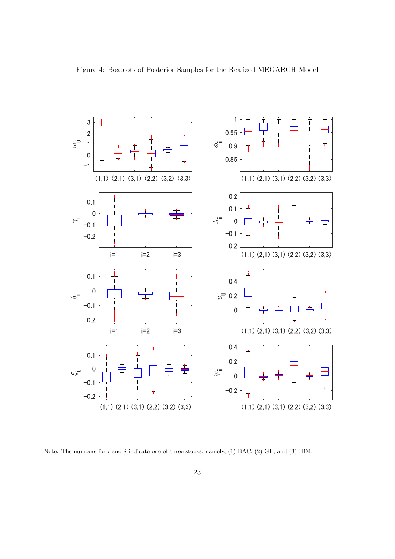

Note: The numbers for *i* and *j* indicate one of three stocks, namely, (1) BAC, (2) GE, and (3) IBM.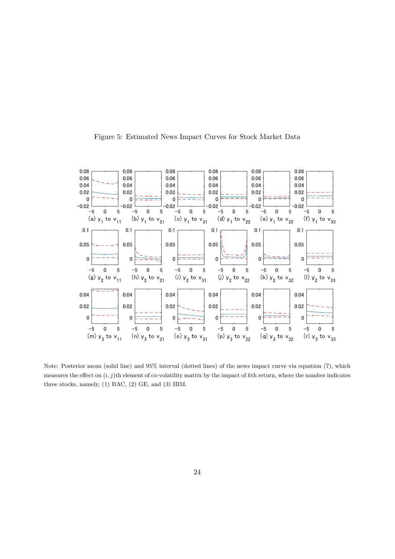

Figure 5: Estimated News Impact Curves for Stock Market Data

Note: Posterior mean (solid line) and 95% interval (dotted lines) of the news impact curve via equation (7), which measures the effect on (*i, j*)th element of co-volatility matrix by the impact of *k*th return, where the number indicates three stocks, namely, (1) BAC, (2) GE, and (3) IBM.